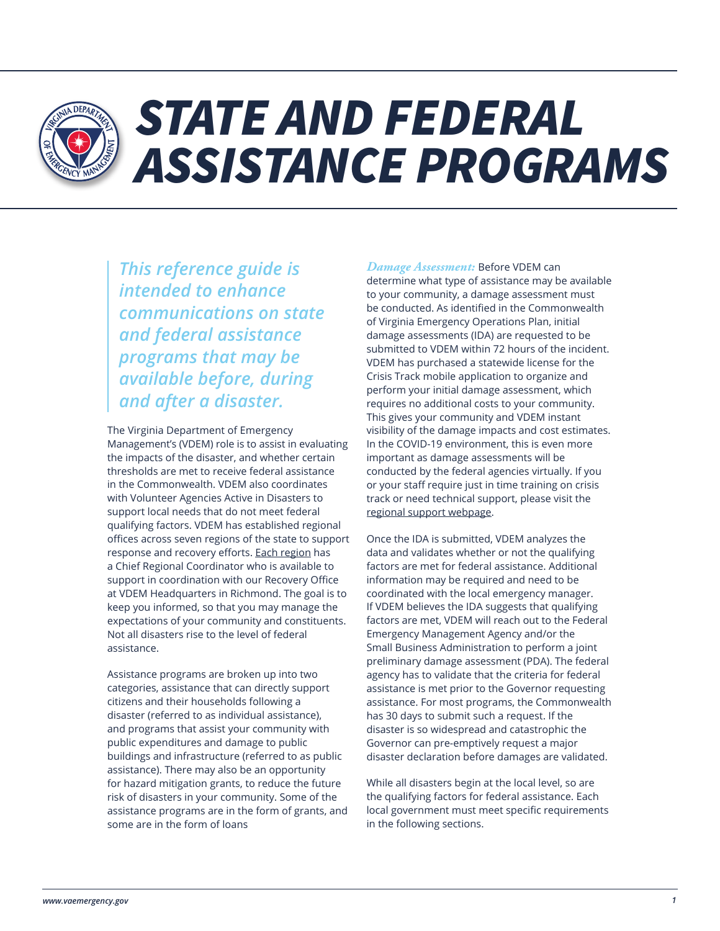

# *STATE AND FEDERAL ASSISTANCE PROGRAMS*

*This reference guide is intended to enhance communications on state and federal assistance programs that may be available before, during and after a disaster.*

The Virginia Department of Emergency Management's (VDEM) role is to assist in evaluating the impacts of the disaster, and whether certain thresholds are met to receive federal assistance in the Commonwealth. VDEM also coordinates with Volunteer Agencies Active in Disasters to support local needs that do not meet federal qualifying factors. VDEM has established regional offices across seven regions of the state to support response and recovery efforts. [Each region](https://www.vaemergency.gov/agency/regions/) has a Chief Regional Coordinator who is available to support in coordination with our Recovery Office at VDEM Headquarters in Richmond. The goal is to keep you informed, so that you may manage the expectations of your community and constituents. Not all disasters rise to the level of federal assistance.

Assistance programs are broken up into two categories, assistance that can directly support citizens and their households following a disaster (referred to as individual assistance), and programs that assist your community with public expenditures and damage to public buildings and infrastructure (referred to as public assistance). There may also be an opportunity for hazard mitigation grants, to reduce the future risk of disasters in your community. Some of the assistance programs are in the form of grants, and some are in the form of loans

*Damage Assessment:* Before VDEM can determine what type of assistance may be available to your community, a damage assessment must be conducted. As identified in the Commonwealth of Virginia Emergency Operations Plan, initial damage assessments (IDA) are requested to be submitted to VDEM within 72 hours of the incident. VDEM has purchased a statewide license for the Crisis Track mobile application to organize and perform your initial damage assessment, which requires no additional costs to your community. This gives your community and VDEM instant visibility of the damage impacts and cost estimates. In the COVID-19 environment, this is even more important as damage assessments will be conducted by the federal agencies virtually. If you or your staff require just in time training on crisis track or need technical support, please visit the [regional support webpage.](https://www.vaemergency.gov/agency/regions/)

Once the IDA is submitted, VDEM analyzes the data and validates whether or not the qualifying factors are met for federal assistance. Additional information may be required and need to be coordinated with the local emergency manager. If VDEM believes the IDA suggests that qualifying factors are met, VDEM will reach out to the Federal Emergency Management Agency and/or the Small Business Administration to perform a joint preliminary damage assessment (PDA). The federal agency has to validate that the criteria for federal assistance is met prior to the Governor requesting assistance. For most programs, the Commonwealth has 30 days to submit such a request. If the disaster is so widespread and catastrophic the Governor can pre-emptively request a major disaster declaration before damages are validated.

While all disasters begin at the local level, so are the qualifying factors for federal assistance. Each local government must meet specific requirements in the following sections.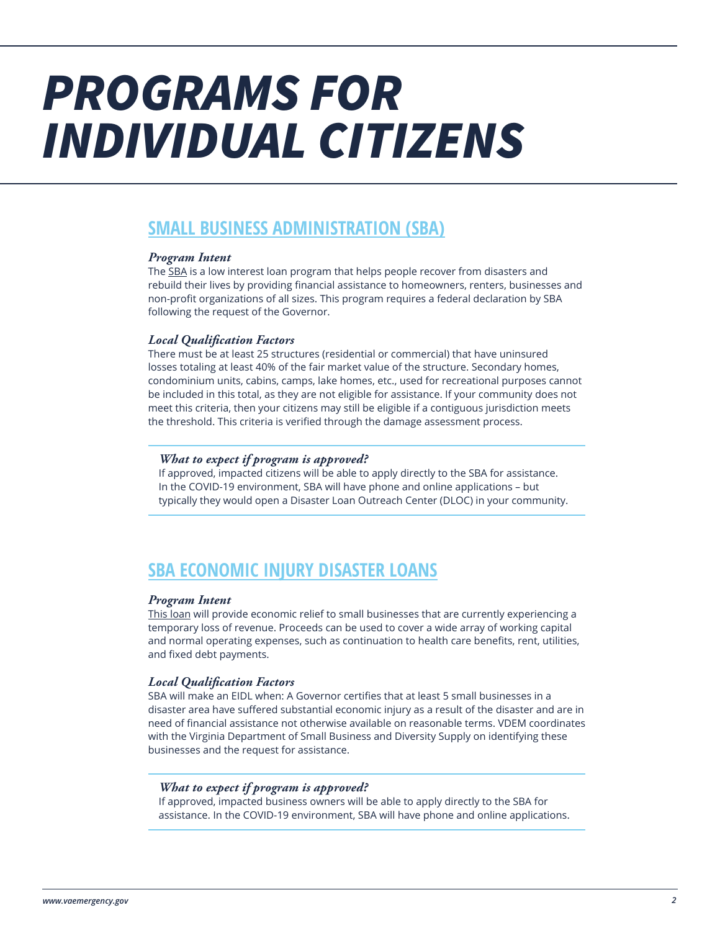# *PROGRAMS FOR INDIVIDUAL CITIZENS*

# **SMALL BUSINESS ADMINISTRATION (SBA)**

### *Program Intent*

The [SBA](https://www.sba.gov/funding-programs/disaster-assistance) is a low interest loan program that helps people recover from disasters and rebuild their lives by providing financial assistance to homeowners, renters, businesses and non-profit organizations of all sizes. This program requires a federal declaration by SBA following the request of the Governor.

## *Local Qualification Factors*

There must be at least 25 structures (residential or commercial) that have uninsured losses totaling at least 40% of the fair market value of the structure. Secondary homes, condominium units, cabins, camps, lake homes, etc., used for recreational purposes cannot be included in this total, as they are not eligible for assistance. If your community does not meet this criteria, then your citizens may still be eligible if a contiguous jurisdiction meets the threshold. This criteria is verified through the damage assessment process.

## *What to expect if program is approved?*

If approved, impacted citizens will be able to apply directly to the SBA for assistance. In the COVID-19 environment, SBA will have phone and online applications – but typically they would open a Disaster Loan Outreach Center (DLOC) in your community.

# **SBA ECONOMIC INJURY DISASTER LOANS**

### *Program Intent*

[This loan](https://www.sba.gov/funding-programs/loans/coronavirus-relief-options/economic-injury-disaster-loans#:~:text=EIDL%20is%20designed%20to%20provide,utilities%2C%20and%20fixed%20debt%20payments.) will provide economic relief to small businesses that are currently experiencing a temporary loss of revenue. Proceeds can be used to cover a wide array of working capital and normal operating expenses, such as continuation to health care benefits, rent, utilities, and fixed debt payments.

## *Local Qualification Factors*

SBA will make an EIDL when: A Governor certifies that at least 5 small businesses in a disaster area have suffered substantial economic injury as a result of the disaster and are in need of financial assistance not otherwise available on reasonable terms. VDEM coordinates with the Virginia Department of Small Business and Diversity Supply on identifying these businesses and the request for assistance.

## *What to expect if program is approved?*

If approved, impacted business owners will be able to apply directly to the SBA for assistance. In the COVID-19 environment, SBA will have phone and online applications.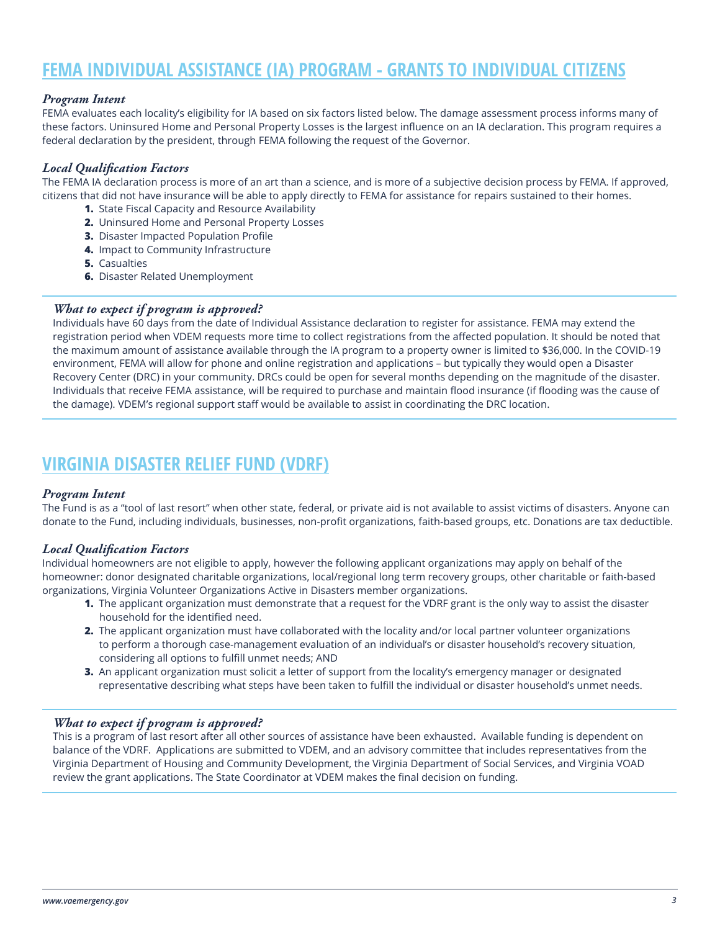# **FEMA INDIVIDUAL ASSISTANCE (IA) PROGRAM - GRANTS TO INDIVIDUAL CITIZENS**

### *Program Intent*

FEMA evaluates each locality's eligibility for IA based on six factors listed below. The damage assessment process informs many of these factors. Uninsured Home and Personal Property Losses is the largest influence on an IA declaration. This program requires a federal declaration by the president, through FEMA following the request of the Governor.

## *Local Qualification Factors*

The FEMA IA declaration process is more of an art than a science, and is more of a subjective decision process by FEMA. If approved, citizens that did not have insurance will be able to apply directly to FEMA for assistance for repairs sustained to their homes.

- **1.** State Fiscal Capacity and Resource Availability
- **2.** Uninsured Home and Personal Property Losses
- **3.** Disaster Impacted Population Profile
- **4.** Impact to Community Infrastructure
- **5.** Casualties
- **6.** Disaster Related Unemployment

### *What to expect if program is approved?*

Individuals have 60 days from the date of Individual Assistance declaration to register for assistance. FEMA may extend the registration period when VDEM requests more time to collect registrations from the affected population. It should be noted that the maximum amount of assistance available through the IA program to a property owner is limited to \$36,000. In the COVID-19 environment, FEMA will allow for phone and online registration and applications – but typically they would open a Disaster Recovery Center (DRC) in your community. DRCs could be open for several months depending on the magnitude of the disaster. Individuals that receive FEMA assistance, will be required to purchase and maintain flood insurance (if flooding was the cause of the damage). VDEM's regional support staff would be available to assist in coordinating the DRC location.

# **VIRGINIA DISASTER RELIEF FUND (VDRF)**

### *Program Intent*

The Fund is as a "tool of last resort" when other state, federal, or private aid is not available to assist victims of disasters. Anyone can donate to the Fund, including individuals, businesses, non-profit organizations, faith-based groups, etc. Donations are tax deductible.

### *Local Qualification Factors*

Individual homeowners are not eligible to apply, however the following applicant organizations may apply on behalf of the homeowner: donor designated charitable organizations, local/regional long term recovery groups, other charitable or faith-based organizations, Virginia Volunteer Organizations Active in Disasters member organizations.

- **1.** The applicant organization must demonstrate that a request for the VDRF grant is the only way to assist the disaster household for the identified need.
- **2.** The applicant organization must have collaborated with the locality and/or local partner volunteer organizations to perform a thorough case-management evaluation of an individual's or disaster household's recovery situation, considering all options to fulfill unmet needs; AND
- **3.** An applicant organization must solicit a letter of support from the locality's emergency manager or designated representative describing what steps have been taken to fulfill the individual or disaster household's unmet needs.

### *What to expect if program is approved?*

This is a program of last resort after all other sources of assistance have been exhausted. Available funding is dependent on balance of the VDRF. Applications are submitted to VDEM, and an advisory committee that includes representatives from the Virginia Department of Housing and Community Development, the Virginia Department of Social Services, and Virginia VOAD review the grant applications. The State Coordinator at VDEM makes the final decision on funding.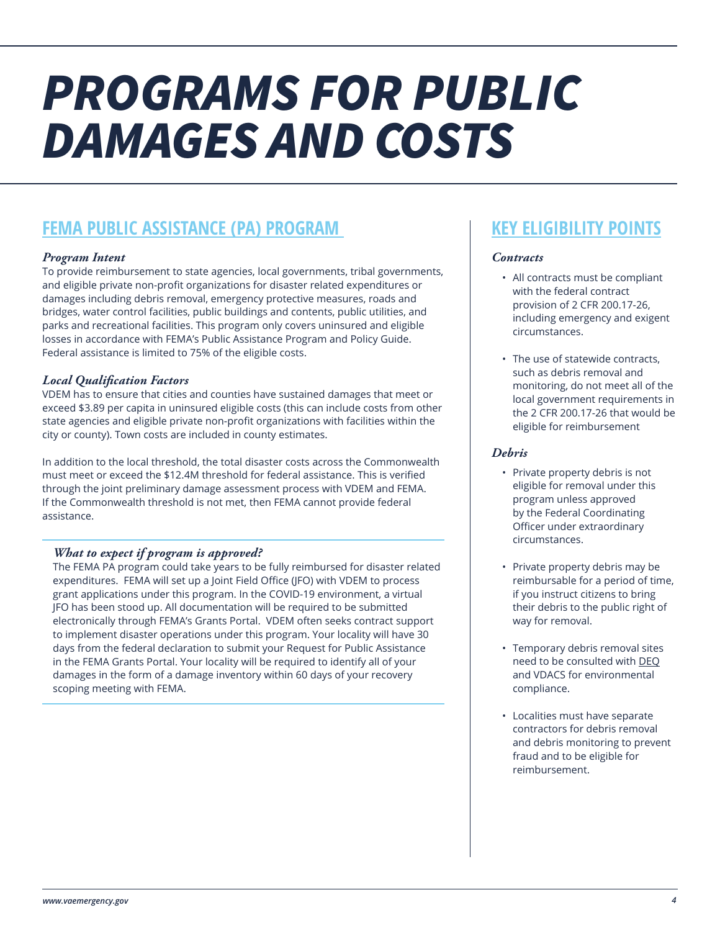# *PROGRAMS FOR PUBLIC DAMAGES AND COSTS*

# **FEMA PUBLIC ASSISTANCE (PA) PROGRAM**

# *Program Intent*

To provide reimbursement to state agencies, local governments, tribal governments, and eligible private non-profit organizations for disaster related expenditures or damages including debris removal, emergency protective measures, roads and bridges, water control facilities, public buildings and contents, public utilities, and parks and recreational facilities. This program only covers uninsured and eligible losses in accordance with FEMA's Public Assistance Program and Policy Guide. Federal assistance is limited to 75% of the eligible costs.

## *Local Qualification Factors*

VDEM has to ensure that cities and counties have sustained damages that meet or exceed \$3.89 per capita in uninsured eligible costs (this can include costs from other state agencies and eligible private non-profit organizations with facilities within the city or county). Town costs are included in county estimates.

In addition to the local threshold, the total disaster costs across the Commonwealth must meet or exceed the \$12.4M threshold for federal assistance. This is verified through the joint preliminary damage assessment process with VDEM and FEMA. If the Commonwealth threshold is not met, then FEMA cannot provide federal assistance.

# *What to expect if program is approved?*

The FEMA PA program could take years to be fully reimbursed for disaster related expenditures. FEMA will set up a Joint Field Office (JFO) with VDEM to process grant applications under this program. In the COVID-19 environment, a virtual JFO has been stood up. All documentation will be required to be submitted electronically through FEMA's Grants Portal. VDEM often seeks contract support to implement disaster operations under this program. Your locality will have 30 days from the federal declaration to submit your Request for Public Assistance in the FEMA Grants Portal. Your locality will be required to identify all of your damages in the form of a damage inventory within 60 days of your recovery scoping meeting with FEMA.

# **KEY ELIGIBILITY POINTS**

## *Contracts*

- All contracts must be compliant with the federal contract provision of 2 CFR 200.17-26, including emergency and exigent circumstances.
- The use of statewide contracts, such as debris removal and monitoring, do not meet all of the local government requirements in the 2 CFR 200.17-26 that would be eligible for reimbursement

## *Debris*

- Private property debris is not eligible for removal under this program unless approved by the Federal Coordinating Officer under extraordinary circumstances.
- Private property debris may be reimbursable for a period of time, if you instruct citizens to bring their debris to the public right of way for removal.
- Temporary debris removal sites need to be consulted with [DEQ](https://www.deq.virginia.gov/Programs/LandProtectionRevitalization/SolidHazardousWasteRegulatoryPrograms/SolidWaste/SevereWeatherPreparednessEmergencyDebrisManagement.aspx) and VDACS for environmental compliance.
- Localities must have separate contractors for debris removal and debris monitoring to prevent fraud and to be eligible for reimbursement.